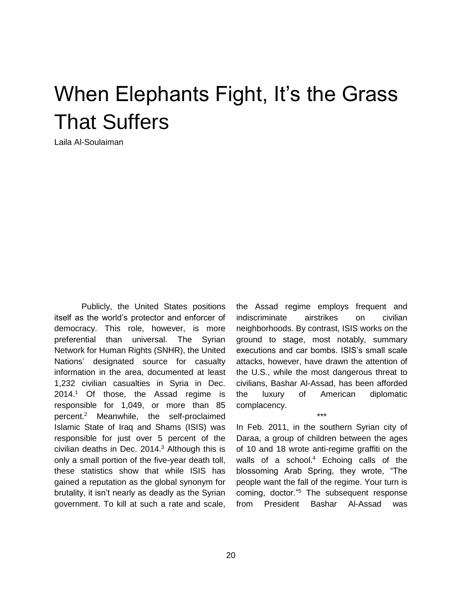## When Elephants Fight, It's the Grass That Suffers

Laila Al-Soulaiman

Publicly, the United States positions itself as the world's protector and enforcer of democracy. This role, however, is more preferential than universal. The Syrian Network for Human Rights (SNHR), the United Nations' designated source for casualty information in the area, documented at least 1,232 civilian casualties in Syria in Dec. 2014.<sup>1</sup> Of those, the Assad regime is responsible for 1,049, or more than 85 percent.<sup>2</sup> Meanwhile, the self-proclaimed Islamic State of Iraq and Shams (ISIS) was responsible for just over 5 percent of the civilian deaths in Dec.  $2014<sup>3</sup>$  Although this is only a small portion of the five-year death toll, these statistics show that while ISIS has gained a reputation as the global synonym for brutality, it isn't nearly as deadly as the Syrian government. To kill at such a rate and scale, the Assad regime employs frequent and indiscriminate airstrikes on civilian neighborhoods. By contrast, ISIS works on the ground to stage, most notably, summary executions and car bombs. ISIS's small scale attacks, however, have drawn the attention of the U.S., while the most dangerous threat to civilians, Bashar Al-Assad, has been afforded the luxury of American diplomatic complacency.

In Feb. 2011, in the southern Syrian city of Daraa, a group of children between the ages of 10 and 18 wrote anti-regime graffiti on the walls of a school. <sup>4</sup> Echoing calls of the blossoming Arab Spring, they wrote, "The people want the fall of the regime. Your turn is coming, doctor."<sup>5</sup> The subsequent response from President Bashar Al-Assad was

\*\*\*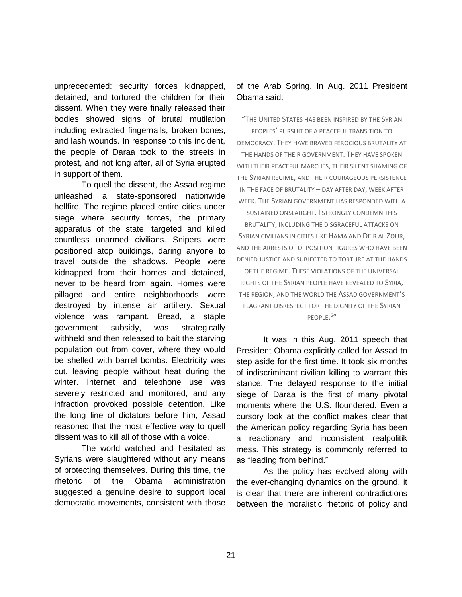unprecedented: security forces kidnapped, detained, and tortured the children for their dissent. When they were finally released their bodies showed signs of brutal mutilation including extracted fingernails, broken bones, and lash wounds. In response to this incident, the people of Daraa took to the streets in protest, and not long after, all of Syria erupted in support of them.

To quell the dissent, the Assad regime unleashed a state-sponsored nationwide hellfire. The regime placed entire cities under siege where security forces, the primary apparatus of the state, targeted and killed countless unarmed civilians. Snipers were positioned atop buildings, daring anyone to travel outside the shadows. People were kidnapped from their homes and detained, never to be heard from again. Homes were pillaged and entire neighborhoods were destroyed by intense air artillery. Sexual violence was rampant. Bread, a staple government subsidy, was strategically withheld and then released to bait the starving population out from cover, where they would be shelled with barrel bombs. Electricity was cut, leaving people without heat during the winter. Internet and telephone use was severely restricted and monitored, and any infraction provoked possible detention. Like the long line of dictators before him, Assad reasoned that the most effective way to quell dissent was to kill all of those with a voice.

The world watched and hesitated as Syrians were slaughtered without any means of protecting themselves. During this time, the rhetoric of the Obama administration suggested a genuine desire to support local democratic movements, consistent with those

## of the Arab Spring. In Aug. 2011 President Obama said:

"THE UNITED STATES HAS BEEN INSPIRED BY THE SYRIAN

PEOPLES' PURSUIT OF A PEACEFUL TRANSITION TO DEMOCRACY. THEY HAVE BRAVED FEROCIOUS BRUTALITY AT THE HANDS OF THEIR GOVERNMENT. THEY HAVE SPOKEN WITH THEIR PEACEFUL MARCHES, THEIR SILENT SHAMING OF THE SYRIAN REGIME, AND THEIR COURAGEOUS PERSISTENCE IN THE FACE OF BRUTALITY – DAY AFTER DAY, WEEK AFTER WEEK. THE SYRIAN GOVERNMENT HAS RESPONDED WITH A SUSTAINED ONSLAUGHT. I STRONGLY CONDEMN THIS BRUTALITY, INCLUDING THE DISGRACEFUL ATTACKS ON SYRIAN CIVILIANS IN CITIES LIKE HAMA AND DEIR AL ZOUR, AND THE ARRESTS OF OPPOSITION FIGURES WHO HAVE BEEN DENIED JUSTICE AND SUBJECTED TO TORTURE AT THE HANDS OF THE REGIME. THESE VIOLATIONS OF THE UNIVERSAL RIGHTS OF THE SYRIAN PEOPLE HAVE REVEALED TO SYRIA, THE REGION, AND THE WORLD THE ASSAD GOVERNMENT'S FLAGRANT DISRESPECT FOR THE DIGNITY OF THE SYRIAN

PEOPLE.<sup>6"</sup>

It was in this Aug. 2011 speech that President Obama explicitly called for Assad to step aside for the first time. It took six months of indiscriminant civilian killing to warrant this stance. The delayed response to the initial siege of Daraa is the first of many pivotal moments where the U.S. floundered. Even a cursory look at the conflict makes clear that the American policy regarding Syria has been a reactionary and inconsistent realpolitik mess. This strategy is commonly referred to as "leading from behind."

As the policy has evolved along with the ever-changing dynamics on the ground, it is clear that there are inherent contradictions between the moralistic rhetoric of policy and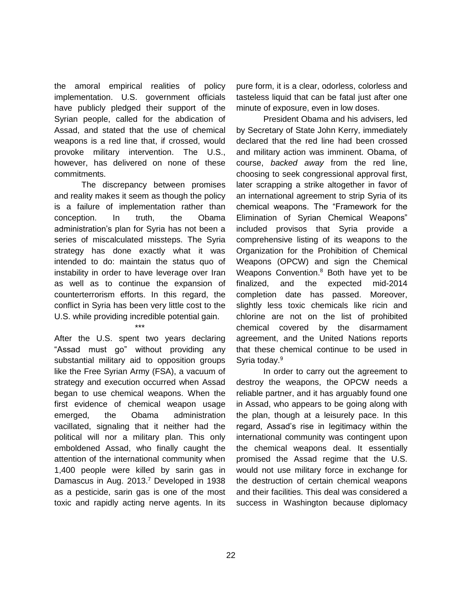the amoral empirical realities of policy implementation. U.S. government officials have publicly pledged their support of the Syrian people, called for the abdication of Assad, and stated that the use of chemical weapons is a red line that, if crossed, would provoke military intervention. The U.S., however, has delivered on none of these commitments.

The discrepancy between promises and reality makes it seem as though the policy is a failure of implementation rather than conception. In truth, the Obama administration's plan for Syria has not been a series of miscalculated missteps. The Syria strategy has done exactly what it was intended to do: maintain the status quo of instability in order to have leverage over Iran as well as to continue the expansion of counterterrorism efforts. In this regard, the conflict in Syria has been very little cost to the U.S. while providing incredible potential gain.

\*\*\*

After the U.S. spent two years declaring "Assad must go" without providing any substantial military aid to opposition groups like the Free Syrian Army (FSA), a vacuum of strategy and execution occurred when Assad began to use chemical weapons. When the first evidence of chemical weapon usage emerged, the Obama administration vacillated, signaling that it neither had the political will nor a military plan. This only emboldened Assad, who finally caught the attention of the international community when 1,400 people were killed by sarin gas in Damascus in Aug. 2013. <sup>7</sup> Developed in 1938 as a pesticide, sarin gas is one of the most toxic and rapidly acting nerve agents. In its

pure form, it is a clear, odorless, colorless and tasteless liquid that can be fatal just after one minute of exposure, even in low doses.

President Obama and his advisers, led by Secretary of State John Kerry, immediately declared that the red line had been crossed and military action was imminent. Obama, of course, *backed away* from the red line, choosing to seek congressional approval first, later scrapping a strike altogether in favor of an international agreement to strip Syria of its chemical weapons. The "Framework for the Elimination of Syrian Chemical Weapons" included provisos that Syria provide a comprehensive listing of its weapons to the Organization for the Prohibition of Chemical Weapons (OPCW) and sign the Chemical Weapons Convention.<sup>8</sup> Both have yet to be finalized, and the expected mid-2014 completion date has passed. Moreover, slightly less toxic chemicals like ricin and chlorine are not on the list of prohibited chemical covered by the disarmament agreement, and the United Nations reports that these chemical continue to be used in Syria today.<sup>9</sup>

In order to carry out the agreement to destroy the weapons, the OPCW needs a reliable partner, and it has arguably found one in Assad, who appears to be going along with the plan, though at a leisurely pace. In this regard, Assad's rise in legitimacy within the international community was contingent upon the chemical weapons deal. It essentially promised the Assad regime that the U.S. would not use military force in exchange for the destruction of certain chemical weapons and their facilities. This deal was considered a success in Washington because diplomacy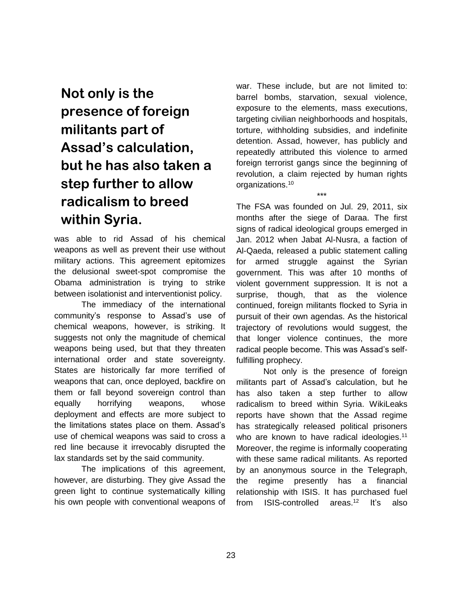**Not only is the presence of foreign militants part of Assad's calculation, but he has also taken a step further to allow radicalism to breed within Syria.**

was able to rid Assad of his chemical weapons as well as prevent their use without military actions. This agreement epitomizes the delusional sweet-spot compromise the Obama administration is trying to strike between isolationist and interventionist policy.

The immediacy of the international community's response to Assad's use of chemical weapons, however, is striking. It suggests not only the magnitude of chemical weapons being used, but that they threaten international order and state sovereignty. States are historically far more terrified of weapons that can, once deployed, backfire on them or fall beyond sovereign control than equally horrifying weapons, whose deployment and effects are more subject to the limitations states place on them. Assad's use of chemical weapons was said to cross a red line because it irrevocably disrupted the lax standards set by the said community.

The implications of this agreement, however, are disturbing. They give Assad the green light to continue systematically killing his own people with conventional weapons of war. These include, but are not limited to: barrel bombs, starvation, sexual violence, exposure to the elements, mass executions, targeting civilian neighborhoods and hospitals, torture, withholding subsidies, and indefinite detention. Assad, however, has publicly and repeatedly attributed this violence to armed foreign terrorist gangs since the beginning of revolution, a claim rejected by human rights organizations.<sup>10</sup>

\*\*\*

The FSA was founded on Jul. 29, 2011, six months after the siege of Daraa. The first signs of radical ideological groups emerged in Jan. 2012 when Jabat Al-Nusra, a faction of Al-Qaeda, released a public statement calling for armed struggle against the Syrian government. This was after 10 months of violent government suppression. It is not a surprise, though, that as the violence continued, foreign militants flocked to Syria in pursuit of their own agendas. As the historical trajectory of revolutions would suggest, the that longer violence continues, the more radical people become. This was Assad's selffulfilling prophecy.

Not only is the presence of foreign militants part of Assad's calculation, but he has also taken a step further to allow radicalism to breed within Syria. WikiLeaks reports have shown that the Assad regime has strategically released political prisoners who are known to have radical ideologies.<sup>11</sup> Moreover, the regime is informally cooperating with these same radical militants. As reported by an anonymous source in the Telegraph, the regime presently has a financial relationship with ISIS. It has purchased fuel from ISIS-controlled areas.<sup>12</sup> It's also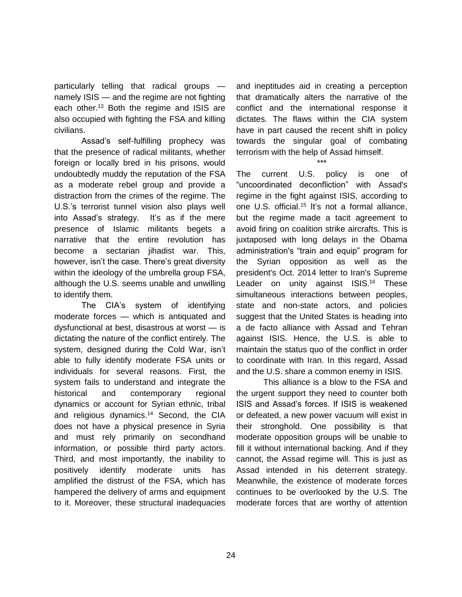particularly telling that radical groups namely ISIS — and the regime are not fighting each other.<sup>13</sup> Both the regime and ISIS are also occupied with fighting the FSA and killing civilians.

Assad's self-fulfilling prophecy was that the presence of radical militants, whether foreign or locally bred in his prisons, would undoubtedly muddy the reputation of the FSA as a moderate rebel group and provide a distraction from the crimes of the regime. The U.S.'s terrorist tunnel vision also plays well into Assad's strategy. It's as if the mere presence of Islamic militants begets a narrative that the entire revolution has become a sectarian jihadist war. This, however, isn't the case. There's great diversity within the ideology of the umbrella group FSA, although the U.S. seems unable and unwilling to identify them.

The CIA's system of identifying moderate forces — which is antiquated and dysfunctional at best, disastrous at worst — is dictating the nature of the conflict entirely. The system, designed during the Cold War, isn't able to fully identify moderate FSA units or individuals for several reasons. First, the system fails to understand and integrate the historical and contemporary regional dynamics or account for Syrian ethnic, tribal and religious dynamics.<sup>14</sup> Second, the CIA does not have a physical presence in Syria and must rely primarily on secondhand information, or possible third party actors. Third, and most importantly, the inability to positively identify moderate units has amplified the distrust of the FSA, which has hampered the delivery of arms and equipment to it. Moreover, these structural inadequacies

and ineptitudes aid in creating a perception that dramatically alters the narrative of the conflict and the international response it dictates. The flaws within the CIA system have in part caused the recent shift in policy towards the singular goal of combating terrorism with the help of Assad himself.

\*\*\*

The current U.S. policy is one of "uncoordinated deconfliction" with Assad's regime in the fight against ISIS, according to one U.S. official.<sup>15</sup> It's not a formal alliance, but the regime made a tacit agreement to avoid firing on coalition strike aircrafts. This is juxtaposed with long delays in the Obama administration's "train and equip" program for the Syrian opposition as well as the president's Oct. 2014 letter to Iran's Supreme Leader on unity against ISIS.<sup>16</sup> These simultaneous interactions between peoples, state and non-state actors, and policies suggest that the United States is heading into a de facto alliance with Assad and Tehran against ISIS. Hence, the U.S. is able to maintain the status quo of the conflict in order to coordinate with Iran. In this regard, Assad and the U.S. share a common enemy in ISIS.

This alliance is a blow to the FSA and the urgent support they need to counter both ISIS and Assad's forces. If ISIS is weakened or defeated, a new power vacuum will exist in their stronghold. One possibility is that moderate opposition groups will be unable to fill it without international backing. And if they cannot, the Assad regime will. This is just as Assad intended in his deterrent strategy. Meanwhile, the existence of moderate forces continues to be overlooked by the U.S. The moderate forces that are worthy of attention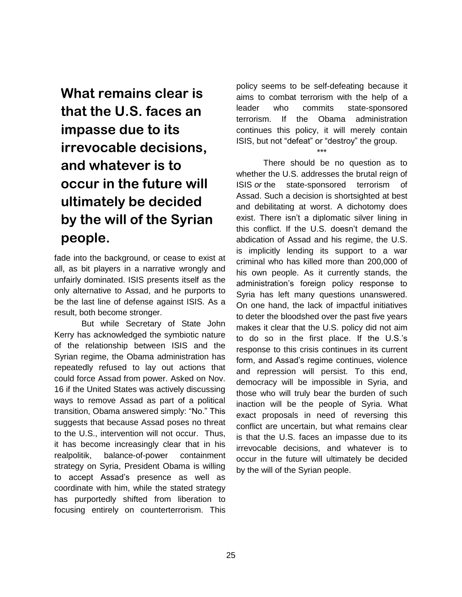**What remains clear is that the U.S. faces an impasse due to its irrevocable decisions, and whatever is to occur in the future will ultimately be decided by the will of the Syrian people.**

fade into the background, or cease to exist at all, as bit players in a narrative wrongly and unfairly dominated. ISIS presents itself as the only alternative to Assad, and he purports to be the last line of defense against ISIS. As a result, both become stronger.

But while Secretary of State John Kerry has acknowledged the symbiotic nature of the relationship between ISIS and the Syrian regime, the Obama administration has repeatedly refused to lay out actions that could force Assad from power. Asked on Nov. 16 if the United States was actively discussing ways to remove Assad as part of a political transition, Obama [answered](http://www.whitehouse.gov/the-press-office/2014/11/16/remarks-president-obama-g20-press-conference-november-16-2014) simply: "No." This suggests that because Assad poses no threat to the U.S., intervention will not occur. Thus, it has become increasingly clear that in his realpolitik, balance-of-power containment strategy on Syria, President Obama is willing to accept Assad's presence as well as coordinate with him, while the stated strategy has purportedly shifted from liberation to focusing entirely on counterterrorism. This policy seems to be self-defeating because it aims to combat terrorism with the help of a leader who commits state-sponsored terrorism. If the Obama administration continues this policy, it will merely contain ISIS, but not "defeat" or "destroy" the group.

\*\*\*

There should be no question as to whether the U.S. addresses the brutal reign of ISIS *or* the state-sponsored terrorism of Assad. Such a decision is shortsighted at best and debilitating at worst. A dichotomy does exist. There isn't a diplomatic silver lining in this conflict. If the U.S. doesn't demand the abdication of Assad and his regime, the U.S. is implicitly lending its support to a war criminal who has killed more than 200,000 of his own people. As it currently stands, the administration's foreign policy response to Syria has left many questions unanswered. On one hand, the lack of impactful initiatives to deter the bloodshed over the past five years makes it clear that the U.S. policy did not aim to do so in the first place. If the U.S.'s response to this crisis continues in its current form, and Assad's regime continues, violence and repression will persist. To this end, democracy will be impossible in Syria, and those who will truly bear the burden of such inaction will be the people of Syria. What exact proposals in need of reversing this conflict are uncertain, but what remains clear is that the U.S. faces an impasse due to its irrevocable decisions, and whatever is to occur in the future will ultimately be decided by the will of the Syrian people.